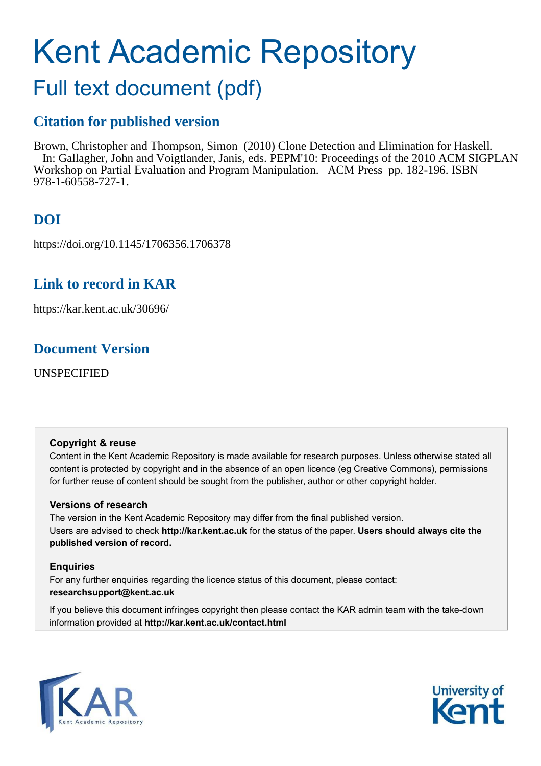# Kent Academic Repository

## Full text document (pdf)

## **Citation for published version**

Brown, Christopher and Thompson, Simon (2010) Clone Detection and Elimination for Haskell. In: Gallagher, John and Voigtlander, Janis, eds. PEPM'10: Proceedings of the 2010 ACM SIGPLAN Workshop on Partial Evaluation and Program Manipulation. ACM Press pp. 182-196. ISBN 978-1-60558-727-1.

## **DOI**

https://doi.org/10.1145/1706356.1706378

## **Link to record in KAR**

https://kar.kent.ac.uk/30696/

## **Document Version**

UNSPECIFIED

#### **Copyright & reuse**

Content in the Kent Academic Repository is made available for research purposes. Unless otherwise stated all content is protected by copyright and in the absence of an open licence (eg Creative Commons), permissions for further reuse of content should be sought from the publisher, author or other copyright holder.

#### **Versions of research**

The version in the Kent Academic Repository may differ from the final published version. Users are advised to check **http://kar.kent.ac.uk** for the status of the paper. **Users should always cite the published version of record.**

#### **Enquiries**

For any further enquiries regarding the licence status of this document, please contact: **researchsupport@kent.ac.uk**

If you believe this document infringes copyright then please contact the KAR admin team with the take-down information provided at **http://kar.kent.ac.uk/contact.html**



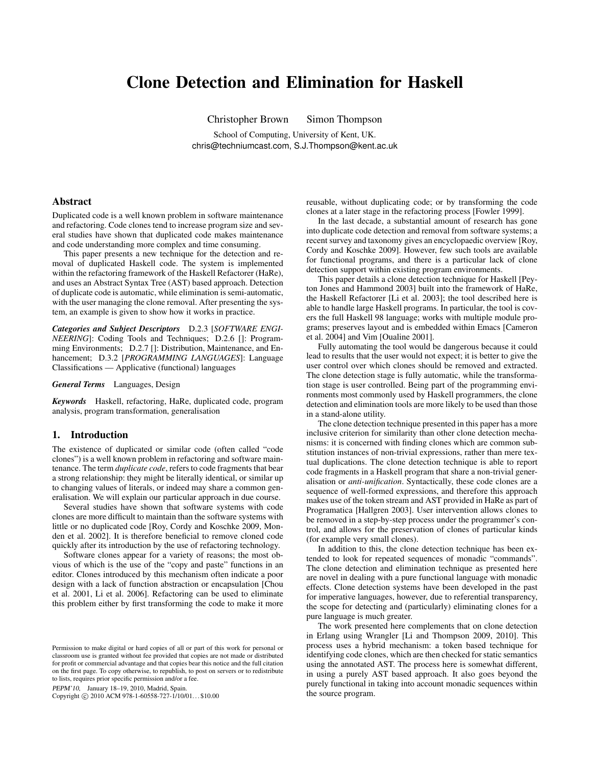### Clone Detection and Elimination for Haskell

Christopher Brown Simon Thompson

School of Computing, University of Kent, UK. chris@techniumcast.com, S.J.Thompson@kent.ac.uk

#### Abstract

Duplicated code is a well known problem in software maintenance and refactoring. Code clones tend to increase program size and several studies have shown that duplicated code makes maintenance and code understanding more complex and time consuming.

This paper presents a new technique for the detection and removal of duplicated Haskell code. The system is implemented within the refactoring framework of the Haskell Refactorer (HaRe), and uses an Abstract Syntax Tree (AST) based approach. Detection of duplicate code is automatic, while elimination is semi-automatic, with the user managing the clone removal. After presenting the system, an example is given to show how it works in practice.

*Categories and Subject Descriptors* D.2.3 [*SOFTWARE ENGI-NEERING*]: Coding Tools and Techniques; D.2.6 []: Programming Environments; D.2.7 []: Distribution, Maintenance, and Enhancement; D.3.2 [*PROGRAMMING LANGUAGES*]: Language Classifications — Applicative (functional) languages

*General Terms* Languages, Design

*Keywords* Haskell, refactoring, HaRe, duplicated code, program analysis, program transformation, generalisation

#### 1. Introduction

The existence of duplicated or similar code (often called "code clones") is a well known problem in refactoring and software maintenance. The term *duplicate code*, refers to code fragments that bear a strong relationship: they might be literally identical, or similar up to changing values of literals, or indeed may share a common generalisation. We will explain our particular approach in due course.

Several studies have shown that software systems with code clones are more difficult to maintain than the software systems with little or no duplicated code [Roy, Cordy and Koschke 2009, Monden et al. 2002]. It is therefore beneficial to remove cloned code quickly after its introduction by the use of refactoring technology.

Software clones appear for a variety of reasons; the most obvious of which is the use of the "copy and paste" functions in an editor. Clones introduced by this mechanism often indicate a poor design with a lack of function abstraction or encapsulation [Chou et al. 2001, Li et al. 2006]. Refactoring can be used to eliminate this problem either by first transforming the code to make it more

PEPM'10, January 18–19, 2010, Madrid, Spain.

Copyright © 2010 ACM 978-1-60558-727-1/10/01... \$10.00

reusable, without duplicating code; or by transforming the code clones at a later stage in the refactoring process [Fowler 1999].

In the last decade, a substantial amount of research has gone into duplicate code detection and removal from software systems; a recent survey and taxonomy gives an encyclopaedic overview [Roy, Cordy and Koschke 2009]. However, few such tools are available for functional programs, and there is a particular lack of clone detection support within existing program environments.

This paper details a clone detection technique for Haskell [Peyton Jones and Hammond 2003] built into the framework of HaRe, the Haskell Refactorer [Li et al. 2003]; the tool described here is able to handle large Haskell programs. In particular, the tool is covers the full Haskell 98 language; works with multiple module programs; preserves layout and is embedded within Emacs [Cameron et al. 2004] and Vim [Oualine 2001].

Fully automating the tool would be dangerous because it could lead to results that the user would not expect; it is better to give the user control over which clones should be removed and extracted. The clone detection stage is fully automatic, while the transformation stage is user controlled. Being part of the programming environments most commonly used by Haskell programmers, the clone detection and elimination tools are more likely to be used than those in a stand-alone utility.

The clone detection technique presented in this paper has a more inclusive criterion for similarity than other clone detection mechanisms: it is concerned with finding clones which are common substitution instances of non-trivial expressions, rather than mere textual duplications. The clone detection technique is able to report code fragments in a Haskell program that share a non-trivial generalisation or *anti-unification*. Syntactically, these code clones are a sequence of well-formed expressions, and therefore this approach makes use of the token stream and AST provided in HaRe as part of Programatica [Hallgren 2003]. User intervention allows clones to be removed in a step-by-step process under the programmer's control, and allows for the preservation of clones of particular kinds (for example very small clones).

In addition to this, the clone detection technique has been extended to look for repeated sequences of monadic "commands". The clone detection and elimination technique as presented here are novel in dealing with a pure functional language with monadic effects. Clone detection systems have been developed in the past for imperative languages, however, due to referential transparency, the scope for detecting and (particularly) eliminating clones for a pure language is much greater.

The work presented here complements that on clone detection in Erlang using Wrangler [Li and Thompson 2009, 2010]. This process uses a hybrid mechanism: a token based technique for identifying code clones, which are then checked for static semantics using the annotated AST. The process here is somewhat different, in using a purely AST based approach. It also goes beyond the purely functional in taking into account monadic sequences within the source program.

Permission to make digital or hard copies of all or part of this work for personal or classroom use is granted without fee provided that copies are not made or distributed for profit or commercial advantage and that copies bear this notice and the full citation on the first page. To copy otherwise, to republish, to post on servers or to redistribute to lists, requires prior specific permission and/or a fee.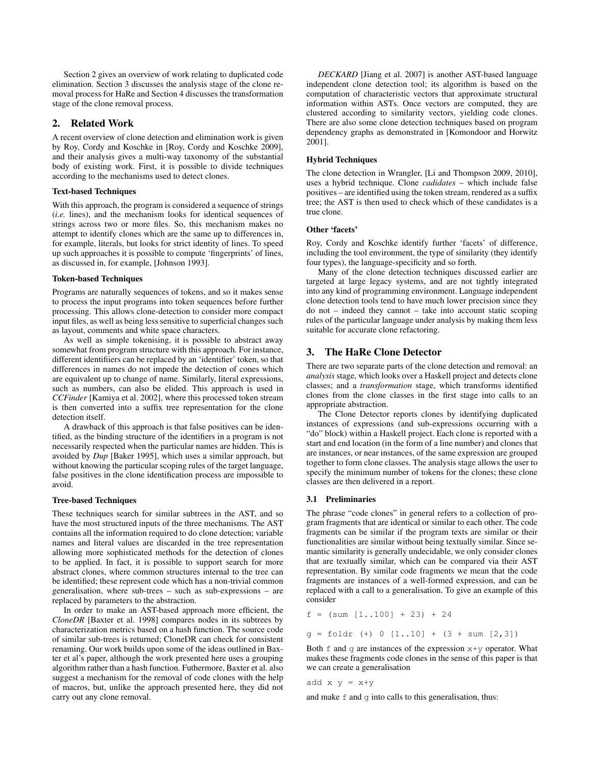Section 2 gives an overview of work relating to duplicated code elimination. Section 3 discusses the analysis stage of the clone removal process for HaRe and Section 4 discusses the transformation stage of the clone removal process.

#### 2. Related Work

A recent overview of clone detection and elimination work is given by Roy, Cordy and Koschke in [Roy, Cordy and Koschke 2009], and their analysis gives a multi-way taxonomy of the substantial body of existing work. First, it is possible to divide techniques according to the mechanisms used to detect clones.

#### Text-based Techniques

With this approach, the program is considered a sequence of strings (*i.e.* lines), and the mechanism looks for identical sequences of strings across two or more files. So, this mechanism makes no attempt to identify clones which are the same up to differences in, for example, literals, but looks for strict identity of lines. To speed up such approaches it is possible to compute 'fingerprints' of lines, as discussed in, for example, [Johnson 1993].

#### Token-based Techniques

Programs are naturally sequences of tokens, and so it makes sense to process the input programs into token sequences before further processing. This allows clone-detection to consider more compact input files, as well as being less sensitive to superficial changes such as layout, comments and white space characters.

As well as simple tokenising, it is possible to abstract away somewhat from program structure with this approach. For instance, different identifiiers can be replaced by an 'identifier' token, so that differences in names do not impede the detection of cones which are equivalent up to change of name. Similarly, literal expressions, such as numbers, can also be elided. This approach is used in *CCFinder* [Kamiya et al. 2002], where this processed token stream is then converted into a suffix tree representation for the clone detection itself.

A drawback of this approach is that false positives can be identified, as the binding structure of the identifiers in a program is not necessarily respected when the particular names are hidden. This is avoided by *Dup* [Baker 1995], which uses a similar approach, but without knowing the particular scoping rules of the target language, false positives in the clone identification process are impossible to avoid.

#### Tree-based Techniques

These techniques search for similar subtrees in the AST, and so have the most structured inputs of the three mechanisms. The AST contains all the information required to do clone detection; variable names and literal values are discarded in the tree representation allowing more sophisticated methods for the detection of clones to be applied. In fact, it is possible to support search for more abstract clones, where common structures internal to the tree can be identified; these represent code which has a non-trivial common generalisation, where sub-trees – such as sub-expressions – are replaced by parameters to the abstraction.

In order to make an AST-based approach more efficient, the *CloneDR* [Baxter et al. 1998] compares nodes in its subtrees by characterization metrics based on a hash function. The source code of similar sub-trees is returned; CloneDR can check for consistent renaming. Our work builds upon some of the ideas outlined in Baxter et al's paper, although the work presented here uses a grouping algorithm rather than a hash function. Futhermore, Baxter et al. also suggest a mechanism for the removal of code clones with the help of macros, but, unlike the approach presented here, they did not carry out any clone removal.

*DECKARD* [Jiang et al. 2007] is another AST-based language independent clone detection tool; its algorithm is based on the computation of characteristic vectors that approximate structural information within ASTs. Once vectors are computed, they are clustered according to similarity vectors, yielding code clones. There are also some clone detection techniques based on program dependency graphs as demonstrated in [Komondoor and Horwitz 2001].

#### Hybrid Techniques

The clone detection in Wrangler, [Li and Thompson 2009, 2010], uses a hybrid technique. Clone *cadidates* – which include false positives – are identified using the token stream, rendered as a suffix tree; the AST is then used to check which of these candidates is a true clone.

#### Other 'facets'

Roy, Cordy and Koschke identify further 'facets' of difference, including the tool environment, the type of similarity (they identify four types), the language-specificity and so forth.

Many of the clone detection techniques discussed earlier are targeted at large legacy systems, and are not tightly integrated into any kind of programming environment. Language independent clone detection tools tend to have much lower precision since they do not – indeed they cannot – take into account static scoping rules of the particular language under analysis by making them less suitable for accurate clone refactoring.

#### 3. The HaRe Clone Detector

There are two separate parts of the clone detection and removal: an *analysis* stage, which looks over a Haskell project and detects clone classes; and a *transformation* stage, which transforms identified clones from the clone classes in the first stage into calls to an appropriate abstraction.

The Clone Detector reports clones by identifying duplicated instances of expressions (and sub-expressions occurring with a "do" block) within a Haskell project. Each clone is reported with a start and end location (in the form of a line number) and clones that are instances, or near instances, of the same expression are grouped together to form clone classes. The analysis stage allows the user to specify the minimum number of tokens for the clones; these clone classes are then delivered in a report.

#### 3.1 Preliminaries

The phrase "code clones" in general refers to a collection of program fragments that are identical or similar to each other. The code fragments can be similar if the program texts are similar or their functionalities are similar without being textually similar. Since semantic similarity is generally undecidable, we only consider clones that are textually similar, which can be compared via their AST representation. By similar code fragments we mean that the code fragments are instances of a well-formed expression, and can be replaced with a call to a generalisation. To give an example of this consider

$$
f = (sum [1..100] + 23) + 24
$$

 $q =$  foldr (+) 0  $[1..10] + (3 + \text{sum} [2,3])$ 

Both  $f$  and  $g$  are instances of the expression  $x+y$  operator. What makes these fragments code clones in the sense of this paper is that we can create a generalisation

add  $x \ y = x+y$ 

and make  $f$  and  $g$  into calls to this generalisation, thus: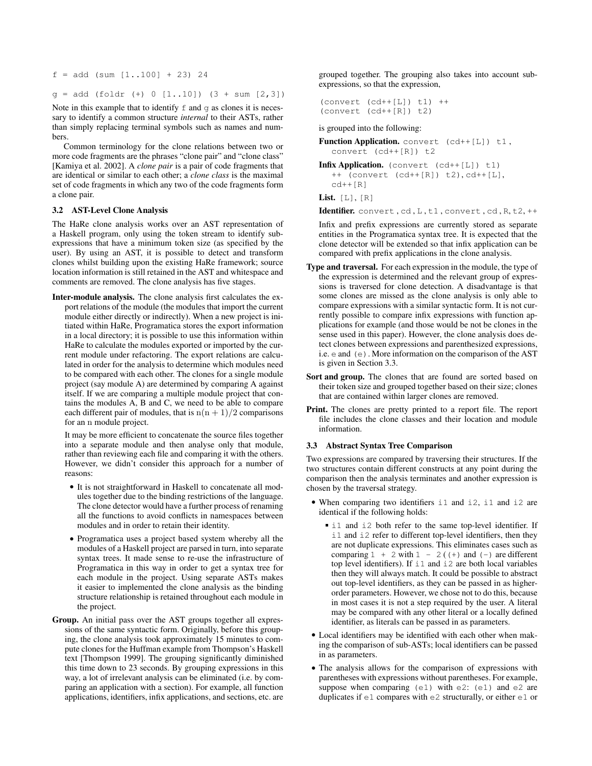$f = add (sum [1..100] + 23) 24$ 

 $g = add (foldr (+) 0 [1..10]) (3 + sum [2,3])$ 

Note in this example that to identify  $f$  and  $g$  as clones it is necessary to identify a common structure *internal* to their ASTs, rather than simply replacing terminal symbols such as names and numbers.

Common terminology for the clone relations between two or more code fragments are the phrases "clone pair" and "clone class" [Kamiya et al. 2002]. A *clone pair* is a pair of code fragments that are identical or similar to each other; a *clone class* is the maximal set of code fragments in which any two of the code fragments form a clone pair.

#### 3.2 AST-Level Clone Analysis

The HaRe clone analysis works over an AST representation of a Haskell program, only using the token stream to identify subexpressions that have a minimum token size (as specified by the user). By using an AST, it is possible to detect and transform clones whilst building upon the existing HaRe framework; source location information is still retained in the AST and whitespace and comments are removed. The clone analysis has five stages.

Inter-module analysis. The clone analysis first calculates the export relations of the module (the modules that import the current module either directly or indirectly). When a new project is initiated within HaRe, Programatica stores the export information in a local directory; it is possible to use this information within HaRe to calculate the modules exported or imported by the current module under refactoring. The export relations are calculated in order for the analysis to determine which modules need to be compared with each other. The clones for a single module project (say module A) are determined by comparing A against itself. If we are comparing a multiple module project that contains the modules A, B and C, we need to be able to compare each different pair of modules, that is  $n(n + 1)/2$  comparisons for an n module project.

It may be more efficient to concatenate the source files together into a separate module and then analyse only that module, rather than reviewing each file and comparing it with the others. However, we didn't consider this approach for a number of reasons:

- It is not straightforward in Haskell to concatenate all modules together due to the binding restrictions of the language. The clone detector would have a further process of renaming all the functions to avoid conflicts in namespaces between modules and in order to retain their identity.
- Programatica uses a project based system whereby all the modules of a Haskell project are parsed in turn, into separate syntax trees. It made sense to re-use the infrastructure of Programatica in this way in order to get a syntax tree for each module in the project. Using separate ASTs makes it easier to implemented the clone analysis as the binding structure relationship is retained throughout each module in the project.
- Group. An initial pass over the AST groups together all expressions of the same syntactic form. Originally, before this grouping, the clone analysis took approximately 15 minutes to compute clones for the Huffman example from Thompson's Haskell text [Thompson 1999]. The grouping significantly diminished this time down to 23 seconds. By grouping expressions in this way, a lot of irrelevant analysis can be eliminated (i.e. by comparing an application with a section). For example, all function applications, identifiers, infix applications, and sections, etc. are

grouped together. The grouping also takes into account subexpressions, so that the expression,

(convert (cd++[L]) t1) ++ (convert (cd++[R]) t2)

is grouped into the following:

Function Application. convert (cd++[L]) t1, convert (cd++[R]) t2

```
Infix Application. (convert (cd++[L]) t1)
  ++ [convert (cd++[R]) t2), cd++[L],cd++[R]
```
List. [L], [R]

Identifier. convert , cd , L , t1 , convert , cd , R, t2, ++

Infix and prefix expressions are currently stored as separate entities in the Programatica syntax tree. It is expected that the clone detector will be extended so that infix application can be compared with prefix applications in the clone analysis.

- Type and traversal. For each expression in the module, the type of the expression is determined and the relevant group of expressions is traversed for clone detection. A disadvantage is that some clones are missed as the clone analysis is only able to compare expressions with a similar syntactic form. It is not currently possible to compare infix expressions with function applications for example (and those would be not be clones in the sense used in this paper). However, the clone analysis does detect clones between expressions and parenthesized expressions, i.e. e and (e). More information on the comparison of the AST is given in Section 3.3.
- Sort and group. The clones that are found are sorted based on their token size and grouped together based on their size; clones that are contained within larger clones are removed.
- Print. The clones are pretty printed to a report file. The report file includes the clone classes and their location and module information.

#### 3.3 Abstract Syntax Tree Comparison

Two expressions are compared by traversing their structures. If the two structures contain different constructs at any point during the comparison then the analysis terminates and another expression is chosen by the traversal strategy.

- When comparing two identifiers i1 and i2, i1 and i2 are identical if the following holds:
	- i1 and i2 both refer to the same top-level identifier. If i1 and i2 refer to different top-level identifiers, then they are not duplicate expressions. This eliminates cases such as comparing  $1 + 2$  with  $1 - 2$  ((+) and (-) are different top level identifiers). If i1 and i2 are both local variables then they will always match. It could be possible to abstract out top-level identifiers, as they can be passed in as higherorder parameters. However, we chose not to do this, because in most cases it is not a step required by the user. A literal may be compared with any other literal or a locally defined identifier, as literals can be passed in as parameters.
- Local identifiers may be identified with each other when making the comparison of sub-ASTs; local identifiers can be passed in as parameters.
- The analysis allows for the comparison of expressions with parentheses with expressions without parentheses. For example, suppose when comparing  $(e1)$  with e2:  $(e1)$  and e2 are duplicates if  $e1$  compares with  $e2$  structurally, or either  $e1$  or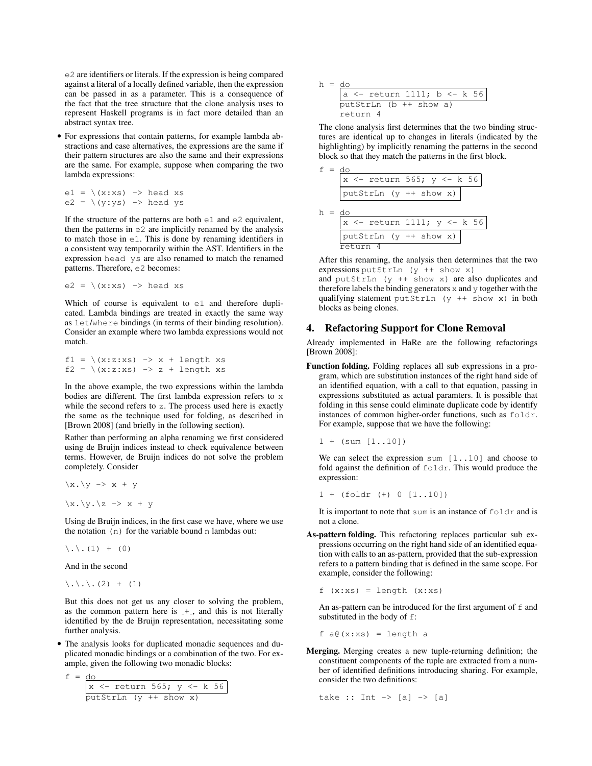e2 are identifiers or literals. If the expression is being compared against a literal of a locally defined variable, then the expression can be passed in as a parameter. This is a consequence of the fact that the tree structure that the clone analysis uses to represent Haskell programs is in fact more detailed than an abstract syntax tree.

• For expressions that contain patterns, for example lambda abstractions and case alternatives, the expressions are the same if their pattern structures are also the same and their expressions are the same. For example, suppose when comparing the two lambda expressions:

```
e1 = \langle x:xs \rangle \rightarrow head xse2 = \Upsilon(y:ys) \rightarrow headys
```
If the structure of the patterns are both  $e1$  and  $e2$  equivalent, then the patterns in  $e^2$  are implicitly renamed by the analysis to match those in e1. This is done by renaming identifiers in a consistent way temporarily within the AST. Identifiers in the expression head ys are also renamed to match the renamed patterns. Therefore, e2 becomes:

```
e2 = \langle x:xs \rangle \rightarrow head xs
```
Which of course is equivalent to e1 and therefore duplicated. Lambda bindings are treated in exactly the same way as let/where bindings (in terms of their binding resolution). Consider an example where two lambda expressions would not match.

 $f1 = \langle x:z:xs \rangle \rightarrow x + length xs$  $f2 = \{x:z:xs\} \rightarrow z + length xs$ 

In the above example, the two expressions within the lambda bodies are different. The first lambda expression refers to x while the second refers to z. The process used here is exactly the same as the technique used for folding, as described in [Brown 2008] (and briefly in the following section).

Rather than performing an alpha renaming we first considered using de Bruijn indices instead to check equivalence between terms. However, de Bruijn indices do not solve the problem completely. Consider

 $\langle x. \rangle y \rightarrow x + y$  $\langle x.\langle y.\rangle z \rightarrow x + y$ 

Using de Bruijn indices, in the first case we have, where we use the notation (n) for the variable bound n lambdas out:

 $\backslash \ldots (1)$  + (0)

And in the second

 $\setminus \ldots \setminus (2) + (1)$ 

But this does not get us any closer to solving the problem, as the common pattern here is  $-+$ , and this is not literally identified by the de Bruijn representation, necessitating some further analysis.

• The analysis looks for duplicated monadic sequences and duplicated monadic bindings or a combination of the two. For example, given the following two monadic blocks:

```
f = dox <- return 565; y <- k 56
    putStrLn (y ++ show x)
```

$$
h = \frac{do}{a \leftarrow return 1111; b \leftarrow k 56}
$$
\n
$$
putStrIn (b ++ show a)
$$
\n
$$
return 4
$$

The clone analysis first determines that the two binding structures are identical up to changes in literals (indicated by the highlighting) by implicitly renaming the patterns in the second block so that they match the patterns in the first block.

$$
f = \frac{do}{x \leftarrow return 565; y \leftarrow k 56}
$$
\n
$$
putStrIn (y + show x)
$$

 $x \leftarrow$  return 1111;  $y \leftarrow k$  56 putStrLn (y ++ show x)

 $h$ 

return 4

After this renaming, the analysis then determines that the two expressions putStrLn (y ++ show x)

and putStrLn  $(y + +$  show x) are also duplicates and therefore labels the binding generators  $x$  and  $y$  together with the qualifying statement putStrLn  $(y + +$  show x) in both blocks as being clones.

#### 4. Refactoring Support for Clone Removal

Already implemented in HaRe are the following refactorings [Brown 2008]:

Function folding. Folding replaces all sub expressions in a program, which are substitution instances of the right hand side of an identified equation, with a call to that equation, passing in expressions substituted as actual paramters. It is possible that folding in this sense could eliminate duplicate code by identify instances of common higher-order functions, such as foldr. For example, suppose that we have the following:

1 + (sum [1..10])

We can select the expression sum [1..10] and choose to fold against the definition of foldr. This would produce the expression:

1 + (foldr (+) 0 [1..10])

It is important to note that sum is an instance of foldr and is not a clone.

As-pattern folding. This refactoring replaces particular sub expressions occurring on the right hand side of an identified equation with calls to an as-pattern, provided that the sub-expression refers to a pattern binding that is defined in the same scope. For example, consider the following:

```
f(x:xs) = length(x:xs)
```
An as-pattern can be introduced for the first argument of  $f$  and substituted in the body of  $f$ :

 $f \ a @ (x:xs) = length a$ 

Merging. Merging creates a new tuple-returning definition; the constituent components of the tuple are extracted from a number of identified definitions introducing sharing. For example, consider the two definitions:

take :: Int -> [a] -> [a]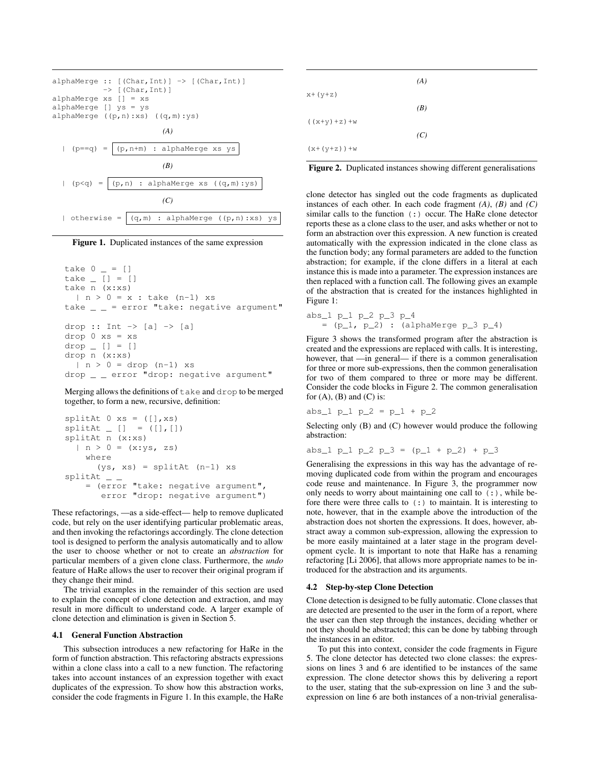

Figure 1. Duplicated instances of the same expression

```
take 0 = []
\text{take} [ ] = []take n (x:xs)
 | n > 0 = x : take (n-1) xstake \angle \angle = error "take: negative argument"
drop :: Int \rightarrow [a] \rightarrow [a]
drop 0 xs = xsdrop = [] = []drop n (x:xs)
  | n > 0 = drop (n-1) xsdrop _ _ error "drop: negative argument"
```
Merging allows the definitions of take and drop to be merged together, to form a new, recursive, definition:

```
splitAt 0 xs = ([], xs)splitAt [ ] = ([], [] )splitAt n (x:xs)
 | n > 0 = (x:ys, zs)where
      (ys, xs) = splitAt (n-1) xssplitAt _{-}= (error "take: negative argument",
      error "drop: negative argument")
```
These refactorings, —as a side-effect— help to remove duplicated code, but rely on the user identifying particular problematic areas, and then invoking the refactorings accordingly. The clone detection tool is designed to perform the analysis automatically and to allow the user to choose whether or not to create an *abstraction* for particular members of a given clone class. Furthermore, the *undo* feature of HaRe allows the user to recover their original program if they change their mind.

The trivial examples in the remainder of this section are used to explain the concept of clone detection and extraction, and may result in more difficult to understand code. A larger example of clone detection and elimination is given in Section 5.

#### 4.1 General Function Abstraction

This subsection introduces a new refactoring for HaRe in the form of function abstraction. This refactoring abstracts expressions within a clone class into a call to a new function. The refactoring takes into account instances of an expression together with exact duplicates of the expression. To show how this abstraction works, consider the code fragments in Figure 1. In this example, the HaRe

|                 | (A) |
|-----------------|-----|
| $x + (y + z)$   |     |
|                 | (B) |
| $((x+y)+z)+w$   |     |
|                 | (C) |
| $(x+(y+z)) + w$ |     |

Figure 2. Duplicated instances showing different generalisations

clone detector has singled out the code fragments as duplicated instances of each other. In each code fragment *(A)*, *(B)* and *(C)* similar calls to the function (:) occur. The HaRe clone detector reports these as a clone class to the user, and asks whether or not to form an abstraction over this expression. A new function is created automatically with the expression indicated in the clone class as the function body; any formal parameters are added to the function abstraction; for example, if the clone differs in a literal at each instance this is made into a parameter. The expression instances are then replaced with a function call. The following gives an example of the abstraction that is created for the instances highlighted in Figure 1:

abs\_1 p\_1 p\_2 p\_3 p\_4  $= (p_1, p_2)$  : (alphaMerge  $p_3 p_4$ )

Figure 3 shows the transformed program after the abstraction is created and the expressions are replaced with calls. It is interesting, however, that —in general— if there is a common generalisation for three or more sub-expressions, then the common generalisation for two of them compared to three or more may be different. Consider the code blocks in Figure 2. The common generalisation for  $(A)$ ,  $(B)$  and  $(C)$  is:

 $abs_1 p_1 p_2 = p_1 + p_2$ 

Selecting only (B) and (C) however would produce the following abstraction:

```
abs_1 p_1 p_2 p_3 = (p_1 + p_2) + p_3
```
Generalising the expressions in this way has the advantage of removing duplicated code from within the program and encourages code reuse and maintenance. In Figure 3, the programmer now only needs to worry about maintaining one call to  $(:)$ , while before there were three calls to  $($ :  $)$  to maintain. It is interesting to note, however, that in the example above the introduction of the abstraction does not shorten the expressions. It does, however, abstract away a common sub-expression, allowing the expression to be more easily maintained at a later stage in the program development cycle. It is important to note that HaRe has a renaming refactoring [Li 2006], that allows more appropriate names to be introduced for the abstraction and its arguments.

#### 4.2 Step-by-step Clone Detection

Clone detection is designed to be fully automatic. Clone classes that are detected are presented to the user in the form of a report, where the user can then step through the instances, deciding whether or not they should be abstracted; this can be done by tabbing through the instances in an editor.

To put this into context, consider the code fragments in Figure 5. The clone detector has detected two clone classes: the expressions on lines 3 and 6 are identified to be instances of the same expression. The clone detector shows this by delivering a report to the user, stating that the sub-expression on line 3 and the subexpression on line 6 are both instances of a non-trivial generalisa-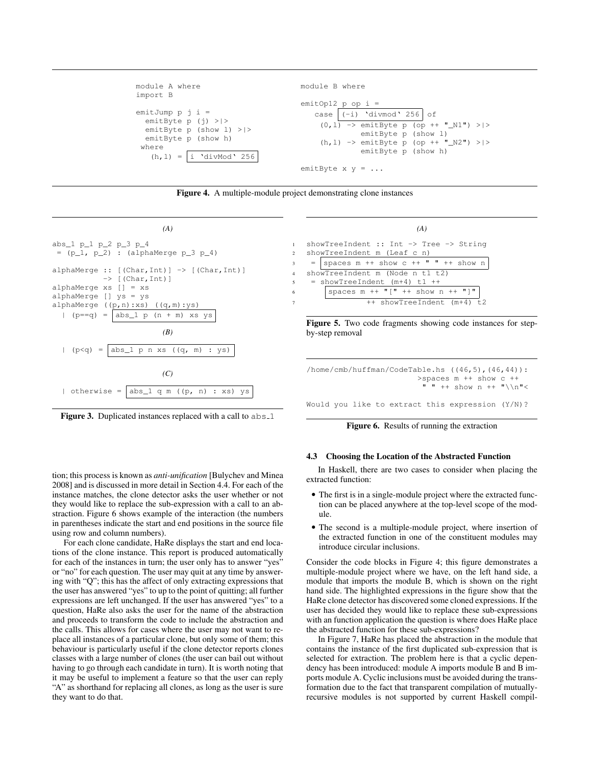





Figure 3. Duplicated instances replaced with a call to  $abs-1$ 

tion; this process is known as *anti-unification* [Bulychev and Minea 2008] and is discussed in more detail in Section 4.4. For each of the instance matches, the clone detector asks the user whether or not they would like to replace the sub-expression with a call to an abstraction. Figure 6 shows example of the interaction (the numbers in parentheses indicate the start and end positions in the source file using row and column numbers).

For each clone candidate, HaRe displays the start and end locations of the clone instance. This report is produced automatically for each of the instances in turn; the user only has to answer "yes" or "no" for each question. The user may quit at any time by answering with "Q"; this has the affect of only extracting expressions that the user has answered "yes" to up to the point of quitting; all further expressions are left unchanged. If the user has answered "yes" to a question, HaRe also asks the user for the name of the abstraction and proceeds to transform the code to include the abstraction and the calls. This allows for cases where the user may not want to replace all instances of a particular clone, but only some of them; this behaviour is particularly useful if the clone detector reports clones classes with a large number of clones (the user can bail out without having to go through each candidate in turn). It is worth noting that it may be useful to implement a feature so that the user can reply "A" as shorthand for replacing all clones, as long as the user is sure they want to do that.



Figure 5. Two code fragments showing code instances for stepby-step removal

```
/home/cmb/huffman/CodeTable.hs ((46,5),(46,44)):
                        >spaces m ++ show c ++
                          " " ++ show n ++ "\n\times
```
Would you like to extract this expression (Y/N)?



#### 4.3 Choosing the Location of the Abstracted Function

In Haskell, there are two cases to consider when placing the extracted function:

- The first is in a single-module project where the extracted function can be placed anywhere at the top-level scope of the module.
- The second is a multiple-module project, where insertion of the extracted function in one of the constituent modules may introduce circular inclusions.

Consider the code blocks in Figure 4; this figure demonstrates a multiple-module project where we have, on the left hand side, a module that imports the module B, which is shown on the right hand side. The highlighted expressions in the figure show that the HaRe clone detector has discovered some cloned expressions. If the user has decided they would like to replace these sub-expressions with an function application the question is where does HaRe place the abstracted function for these sub-expressions?

In Figure 7, HaRe has placed the abstraction in the module that contains the instance of the first duplicated sub-expression that is selected for extraction. The problem here is that a cyclic dependency has been introduced: module A imports module B and B imports module A. Cyclic inclusions must be avoided during the transformation due to the fact that transparent compilation of mutuallyrecursive modules is not supported by current Haskell compil-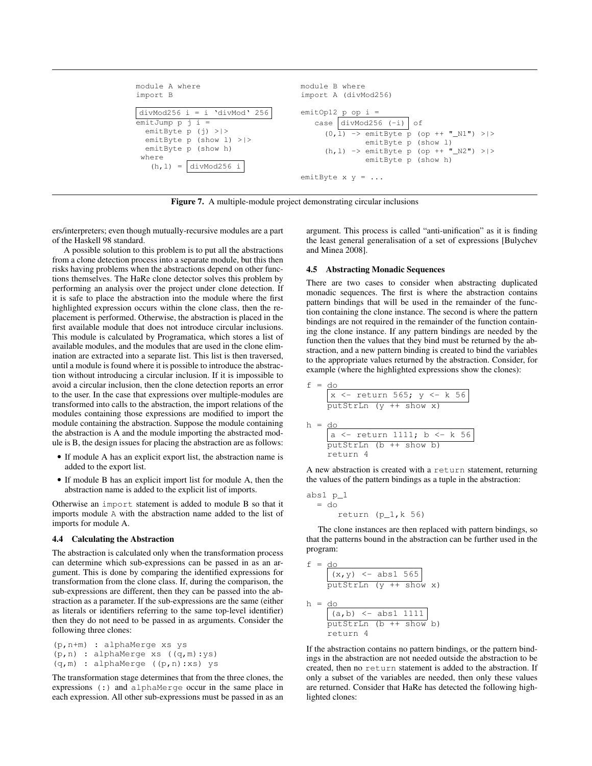```
module A where
import B
divMod256 i = i 'divMod' 256
emitJump p j i =
 emitByte p (j) >|>
  emitByte p (show l) >|>
 emitByte p (show h)
 where
   (h, 1) = |divMod256|module B where
                                     import A (divMod256)
                                      emitOp12 p op i =
                                         case divMod256 (-i) of
                                           (0, 1) -> emitByte p (op ++ "_N1") >|>
                                                    emitByte p (show l)
                                           (h, 1) \rightarrow emitByte p (op ++ "_N2") >|>
                                                    emitByte p (show h)
                                     emitByte x y = ...
```
Figure 7. A multiple-module project demonstrating circular inclusions

ers/interpreters; even though mutually-recursive modules are a part of the Haskell 98 standard.

A possible solution to this problem is to put all the abstractions from a clone detection process into a separate module, but this then risks having problems when the abstractions depend on other functions themselves. The HaRe clone detector solves this problem by performing an analysis over the project under clone detection. If it is safe to place the abstraction into the module where the first highlighted expression occurs within the clone class, then the replacement is performed. Otherwise, the abstraction is placed in the first available module that does not introduce circular inclusions. This module is calculated by Programatica, which stores a list of available modules, and the modules that are used in the clone elimination are extracted into a separate list. This list is then traversed, until a module is found where it is possible to introduce the abstraction without introducing a circular inclusion. If it is impossible to avoid a circular inclusion, then the clone detection reports an error to the user. In the case that expressions over multiple-modules are transformed into calls to the abstraction, the import relations of the modules containing those expressions are modified to import the module containing the abstraction. Suppose the module containing the abstraction is A and the module importing the abstracted module is B, the design issues for placing the abstraction are as follows:

- If module A has an explicit export list, the abstraction name is added to the export list.
- If module B has an explicit import list for module A, then the abstraction name is added to the explicit list of imports.

Otherwise an import statement is added to module B so that it imports module A with the abstraction name added to the list of imports for module A.

#### 4.4 Calculating the Abstraction

The abstraction is calculated only when the transformation process can determine which sub-expressions can be passed in as an argument. This is done by comparing the identified expressions for transformation from the clone class. If, during the comparison, the sub-expressions are different, then they can be passed into the abstraction as a parameter. If the sub-expressions are the same (either as literals or identifiers referring to the same top-level identifier) then they do not need to be passed in as arguments. Consider the following three clones:

```
(p,n+m) : alphaMerge xs ys
(p,n) : alphaMerge xs ((q,m):ys)
(q,m) : alphaMerge ((p,n):xs) ys
```
The transformation stage determines that from the three clones, the expressions (:) and alphaMerge occur in the same place in each expression. All other sub-expressions must be passed in as an argument. This process is called "anti-unification" as it is finding the least general generalisation of a set of expressions [Bulychev and Minea 2008].

#### 4.5 Abstracting Monadic Sequences

There are two cases to consider when abstracting duplicated monadic sequences. The first is where the abstraction contains pattern bindings that will be used in the remainder of the function containing the clone instance. The second is where the pattern bindings are not required in the remainder of the function containing the clone instance. If any pattern bindings are needed by the function then the values that they bind must be returned by the abstraction, and a new pattern binding is created to bind the variables to the appropriate values returned by the abstraction. Consider, for example (where the highlighted expressions show the clones):

$$
f = \frac{do}{x \leftarrow return 565; y \leftarrow k 56}
$$
\n
$$
putStrIn (y + show x)
$$
\n
$$
h = \frac{do}{a \leftarrow return 1111; b \leftarrow k 56}
$$
\n
$$
putStrIn (b + show b)
$$
\n
$$
return 4
$$

A new abstraction is created with a return statement, returning the values of the pattern bindings as a tuple in the abstraction:

$$
abs1 p_1 = do
$$
  
= do return (p\_1, k 56)

The clone instances are then replaced with pattern bindings, so that the patterns bound in the abstraction can be further used in the program:

$$
f = \frac{do}{(x,y) \leftarrow abs1 565}
$$
\n
$$
putStrIn (y ++ show x)
$$
\n
$$
h = \frac{do}{(a,b) \leftarrow abs1 1111}
$$
\n
$$
putStrIn (b ++ show b)
$$
\n
$$
return 4
$$

If the abstraction contains no pattern bindings, or the pattern bindings in the abstraction are not needed outside the abstraction to be created, then no return statement is added to the abstraction. If only a subset of the variables are needed, then only these values are returned. Consider that HaRe has detected the following highlighted clones: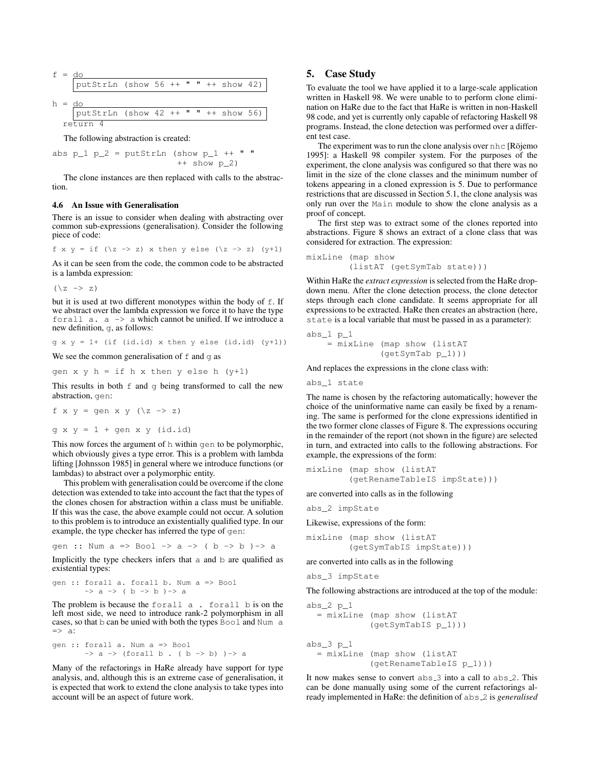|          | $f = do$                               |  |  |  |  |  |  |  |  |  |
|----------|----------------------------------------|--|--|--|--|--|--|--|--|--|
|          | putStrLn (show $56 + $ " " ++ show 42) |  |  |  |  |  |  |  |  |  |
| $h = do$ |                                        |  |  |  |  |  |  |  |  |  |
|          |                                        |  |  |  |  |  |  |  |  |  |
|          | putStrLn (show $42 + $ " " ++ show 56) |  |  |  |  |  |  |  |  |  |

The following abstraction is created:

abs  $p_1 p_2 = putStrLn$  (show  $p_1 + \cdots$ ++ show p\_2)

The clone instances are then replaced with calls to the abstraction.

#### 4.6 An Issue with Generalisation

There is an issue to consider when dealing with abstracting over common sub-expressions (generalisation). Consider the following piece of code:

f x  $y = if (\zeta > z)$  x then y else  $(\zeta > z) (y+1)$ 

As it can be seen from the code, the common code to be abstracted is a lambda expression:

 $(\zeta z \rightarrow z)$ 

but it is used at two different monotypes within the body of  $f$ . If we abstract over the lambda expression we force it to have the type forall  $a \cdot a \rightarrow a$  which cannot be unified. If we introduce a new definition, g, as follows:

 $q \times y = 1 + (if (id.id) \times then y else (id.id) (y+1))$ 

We see the common generalisation of  $f$  and  $g$  as

gen  $x \ y \ h = \text{if } h \ x \ \text{then } y \ \text{else } h \ (y+1)$ 

This results in both  $f$  and  $g$  being transformed to call the new abstraction, gen:

f x y = gen x y  $(\zeta z \rightarrow z)$ 

 $g x y = 1 + gen x y (id.id)$ 

This now forces the argument of h within gen to be polymorphic, which obviously gives a type error. This is a problem with lambda lifting [Johnsson 1985] in general where we introduce functions (or lambdas) to abstract over a polymorphic entity.

This problem with generalisation could be overcome if the clone detection was extended to take into account the fact that the types of the clones chosen for abstraction within a class must be unifiable. If this was the case, the above example could not occur. A solution to this problem is to introduce an existentially qualified type. In our example, the type checker has inferred the type of gen:

gen :: Num a => Bool -> a -> ( b -> b )-> a

Implicitly the type checkers infers that a and b are qualified as existential types:

```
gen :: forall a. forall b. Num a => Bool
       -> a -> ( b -> b )-> a
```
The problem is because the forall a. forall b is on the left most side, we need to introduce rank-2 polymorphism in all cases, so that b can be unied with both the types Bool and Num a  $\Rightarrow$  a:

```
gen :: forall a. Num a => Bool
           \Rightarrow a \Rightarrow (forall b. ( b \Rightarrow b) )\Rightarrow a
```
Many of the refactorings in HaRe already have support for type analysis, and, although this is an extreme case of generalisation, it is expected that work to extend the clone analysis to take types into account will be an aspect of future work.

#### 5. Case Study

To evaluate the tool we have applied it to a large-scale application written in Haskell 98. We were unable to to perform clone elimination on HaRe due to the fact that HaRe is written in non-Haskell 98 code, and yet is currently only capable of refactoring Haskell 98 programs. Instead, the clone detection was performed over a different test case.

The experiment was to run the clone analysis over  $n \geq 1$  [Röjemo] 1995]: a Haskell 98 compiler system. For the purposes of the experiment, the clone analysis was configured so that there was no limit in the size of the clone classes and the minimum number of tokens appearing in a cloned expression is 5. Due to performance restrictions that are discussed in Section 5.1, the clone analysis was only run over the Main module to show the clone analysis as a proof of concept.

The first step was to extract some of the clones reported into abstractions. Figure 8 shows an extract of a clone class that was considered for extraction. The expression:

```
mixLine (map show
        (listAT (getSymTab state)))
```
Within HaRe the *extract expression* is selected from the HaRe dropdown menu. After the clone detection process, the clone detector steps through each clone candidate. It seems appropriate for all expressions to be extracted. HaRe then creates an abstraction (here, state is a local variable that must be passed in as a parameter):

```
abs_1 p_1= mixLine (map show (listAT
              (getSymTab p_1)))
```
And replaces the expressions in the clone class with:

abs\_1 state

The name is chosen by the refactoring automatically; however the choice of the uninformative name can easily be fixed by a renaming. The same is performed for the clone expressions identified in the two former clone classes of Figure 8. The expressions occuring in the remainder of the report (not shown in the figure) are selected in turn, and extracted into calls to the following abstractions. For example, the expressions of the form:

mixLine (map show (listAT (getRenameTableIS impState)))

are converted into calls as in the following

abs\_2 impState

Likewise, expressions of the form:

mixLine (map show (listAT (getSymTabIS impState)))

are converted into calls as in the following

abs\_3 impState

The following abstractions are introduced at the top of the module:

```
abs 2 p 1= mixLine (map show (listAT
            (getSymTabIS p_1)))
abs_3 p_1
  = mixLine (map show (listAT
            (getRenameTableIS p_1)))
```
It now makes sense to convert abs 3 into a call to abs 2. This can be done manually using some of the current refactorings already implemented in HaRe: the definition of abs 2 is *generalised*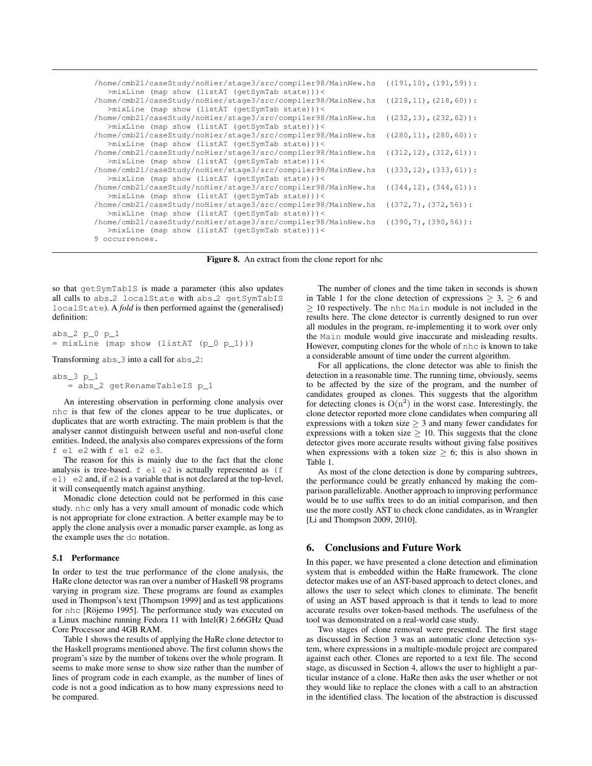```
/home/cmb21/caseStudy/noHier/stage3/src/compiler98/MainNew.hs ((191,10),(191,59)):
  >mixLine (map show (listAT (getSymTab state)))<
/home/cmb21/caseStudy/noHier/stage3/src/compiler98/MainNew.hs ((218,11),(218,60)):
  >mixLine (map show (listAT (getSymTab state)))<
/home/cmb21/caseStudy/noHier/stage3/src/compiler98/MainNew.hs ((232,13),(232,62)):
  >mixLine (map show (listAT (getSymTab state)))<
/home/cmb21/caseStudy/noHier/stage3/src/compiler98/MainNew.hs ((280,11),(280,60)):
  >mixLine (map show (listAT (getSymTab state)))<
/home/cmb21/caseStudy/noHier/stage3/src/compiler98/MainNew.hs ((312,12),(312,61)):
  >mixLine (map show (listAT (getSymTab state)))<
/home/cmb21/caseStudy/noHier/stage3/src/compiler98/MainNew.hs ((333,12),(333,61)):
  >mixLine (map show (listAT (getSymTab state)))<
/home/cmb21/caseStudy/noHier/stage3/src/compiler98/MainNew.hs ((344,12),(344,61)):
  >mixLine (map show (listAT (getSymTab state)))<
/home/cmb21/caseStudy/noHier/stage3/src/compiler98/MainNew.hs ((372,7),(372,56)):
  >mixLine (map show (listAT (getSymTab state)))<
/home/cmb21/caseStudy/noHier/stage3/src/compiler98/MainNew.hs ((390,7),(390,56)):
  >mixLine (map show (listAT (getSymTab state)))<
9 occurrences.
```
Figure 8. An extract from the clone report for nhc

so that getSymTabIS is made a parameter (this also updates all calls to abs 2 localState with abs 2 getSymTabIS localState). A *fold* is then performed against the (generalised) definition:

```
abs_2 p_0 p_1
= mixLine (map show (listAT (p_0 p_1)))
```
Transforming abs 3 into a call for abs 2:

 $abs_3$   $p_1$ = abs\_2 getRenameTableIS p\_1

An interesting observation in performing clone analysis over nhc is that few of the clones appear to be true duplicates, or duplicates that are worth extracting. The main problem is that the analyser cannot distinguish between useful and non-useful clone entities. Indeed, the analysis also compares expressions of the form f e1 e2 with f e1 e2 e3.

The reason for this is mainly due to the fact that the clone analysis is tree-based.  $f \neq 1$  e2 is actually represented as ( $f$ e1) e2 and, if e2 is a variable that is not declared at the top-level, it will consequently match against anything.

Monadic clone detection could not be performed in this case study. nhc only has a very small amount of monadic code which is not appropriate for clone extraction. A better example may be to apply the clone analysis over a monadic parser example, as long as the example uses the do notation.

#### 5.1 Performance

In order to test the true performance of the clone analysis, the HaRe clone detector was ran over a number of Haskell 98 programs varying in program size. These programs are found as examples used in Thompson's text [Thompson 1999] and as test applications for nhc [Röjemo 1995]. The performance study was executed on a Linux machine running Fedora 11 with Intel(R) 2.66GHz Quad Core Processor and 4GB RAM.

Table 1 shows the results of applying the HaRe clone detector to the Haskell programs mentioned above. The first column shows the program's size by the number of tokens over the whole program. It seems to make more sense to show size rather than the number of lines of program code in each example, as the number of lines of code is not a good indication as to how many expressions need to be compared.

The number of clones and the time taken in seconds is shown in Table 1 for the clone detection of expressions  $\geq$  3,  $\geq$  6 and  $\geq$  10 respectively. The nhc Main module is not included in the results here. The clone detector is currently designed to run over all modules in the program, re-implementing it to work over only the Main module would give inaccurate and misleading results. However, computing clones for the whole of nhc is known to take a considerable amount of time under the current algorithm.

For all applications, the clone detector was able to finish the detection in a reasonable time. The running time, obviously, seems to be affected by the size of the program, and the number of candidates grouped as clones. This suggests that the algorithm for detecting clones is  $O(n^2)$  in the worst case. Interestingly, the clone detector reported more clone candidates when comparing all expressions with a token size  $\geq$  3 and many fewer candidates for expressions with a token size  $\geq$  10. This suggests that the clone detector gives more accurate results without giving false positives when expressions with a token size  $\geq$  6; this is also shown in Table 1.

As most of the clone detection is done by comparing subtrees, the performance could be greatly enhanced by making the comparison parallelizable. Another approach to improving performance would be to use suffix trees to do an initial comparison, and then use the more costly AST to check clone candidates, as in Wrangler [Li and Thompson 2009, 2010].

#### 6. Conclusions and Future Work

In this paper, we have presented a clone detection and elimination system that is embedded within the HaRe framework. The clone detector makes use of an AST-based approach to detect clones, and allows the user to select which clones to eliminate. The benefit of using an AST based approach is that it tends to lead to more accurate results over token-based methods. The usefulness of the tool was demonstrated on a real-world case study.

Two stages of clone removal were presented. The first stage as discussed in Section 3 was an automatic clone detection system, where expressions in a multiple-module project are compared against each other. Clones are reported to a text file. The second stage, as discussed in Section 4, allows the user to highlight a particular instance of a clone. HaRe then asks the user whether or not they would like to replace the clones with a call to an abstraction in the identified class. The location of the abstraction is discussed